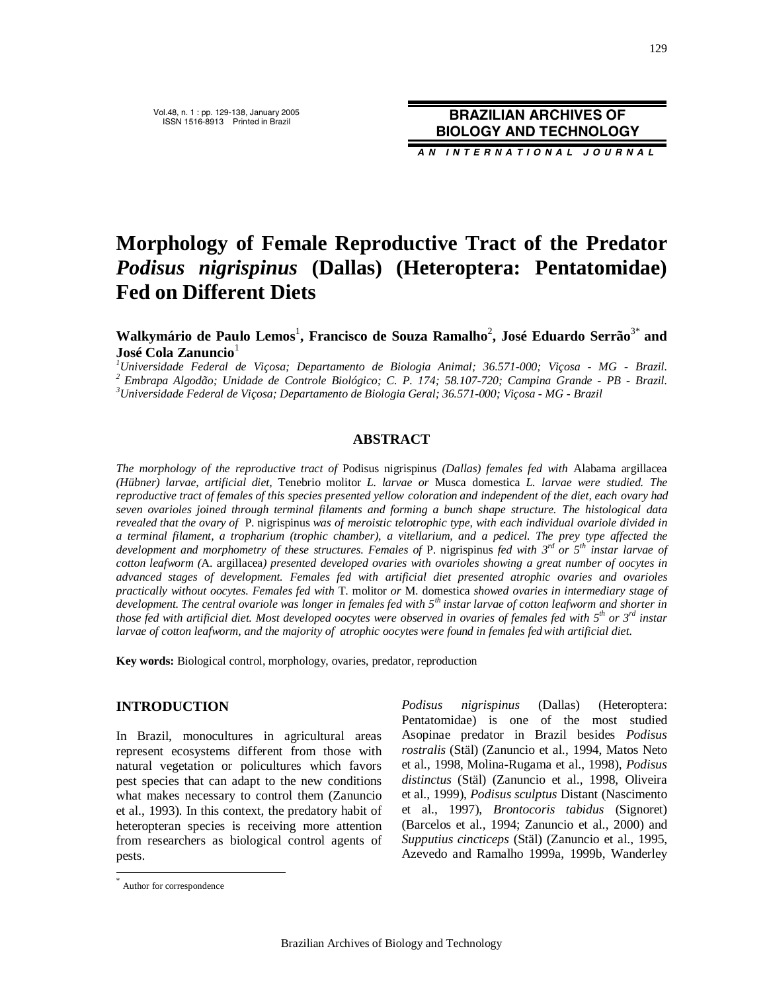**BRAZILIAN ARCHIVES OF BIOLOGY AND TECHNOLOGY**

**AN INTERNATIONAL JOURNAL**

# **Morphology of Female Reproductive Tract of the Predator** *Podisus nigrispinus* **(Dallas) (Heteroptera: Pentatomidae) Fed on Different Diets**

**Walkymário de Paulo Lemos**<sup>1</sup> **, Francisco de Souza Ramalho**<sup>2</sup> **, José Eduardo Serrão**3\* **and José Cola Zanuncio**<sup>1</sup>

*1 Universidade Federal de Viçosa; Departamento de Biologia Animal; 36.571-000; Viçosa - MG - Brazil. <sup>2</sup> Embrapa Algodão; Unidade de Controle Biológico; C. P. 174; 58.107-720; Campina Grande - PB - Brazil. <sup>3</sup> Universidade Federal de Viçosa; Departamento de Biologia Geral; 36.571-000; Viçosa - MG - Brazil*

## **ABSTRACT**

*The morphology of the reproductive tract of* Podisus nigrispinus *(Dallas) females fed with* Alabama argillacea *(Hübner) larvae, artificial diet,* Tenebrio molitor *L. larvae or* Musca domestica *L. larvae were studied. The reproductive tract of females of this species presented yellow coloration and independent of the diet, each ovary had seven ovarioles joined through terminal filaments and forming a bunch shape structure. The histological data revealed that the ovary of* P. nigrispinus *was of meroistic telotrophic type, with each individual ovariole divided in a terminal filament, a tropharium (trophic chamber), a vitellarium, and a pedicel. The prey type affected the development and morphometry of these structures. Females of* P. nigrispinus *fed with 3rd or 5th instar larvae of cotton leafworm (*A. argillacea*) presented developed ovaries with ovarioles showing a great number of oocytes in advanced stages of development. Females fed with artificial diet presented atrophic ovaries and ovarioles practically without oocytes. Females fed with* T. molitor *or* M. domestica *showed ovaries in intermediary stage of development. The central ovariole was longer in females fed with 5th instar larvae of cotton leafworm and shorter in those fed with artificial diet. Most developed oocytes were observed in ovaries of females fed with 5th or 3rd instar larvae of cotton leafworm, and the majority of atrophic oocytes were found in females fed with artificial diet.*

**Key words:** Biological control, morphology, ovaries, predator, reproduction

## **INTRODUCTION**

In Brazil, monocultures in agricultural areas represent ecosystems different from those with natural vegetation or policultures which favors pest species that can adapt to the new conditions what makes necessary to control them (Zanuncio et al., 1993). In this context, the predatory habit of heteropteran species is receiving more attention from researchers as biological control agents of pests.

*Podisus nigrispinus* (Dallas) (Heteroptera: Pentatomidae) is one of the most studied Asopinae predator in Brazil besides *Podisus rostralis* (Stäl) (Zanuncio et al., 1994, Matos Neto et al., 1998, Molina-Rugama et al., 1998), *Podisus distinctus* (Stäl) (Zanuncio et al., 1998, Oliveira et al., 1999), *Podisus sculptus* Distant (Nascimento et al., 1997), *Brontocoris tabidus* (Signoret) (Barcelos et al., 1994; Zanuncio et al., 2000) and *Supputius cincticeps* (Stäl) (Zanuncio et al., 1995, Azevedo and Ramalho 1999a, 1999b, Wanderley

Author for correspondence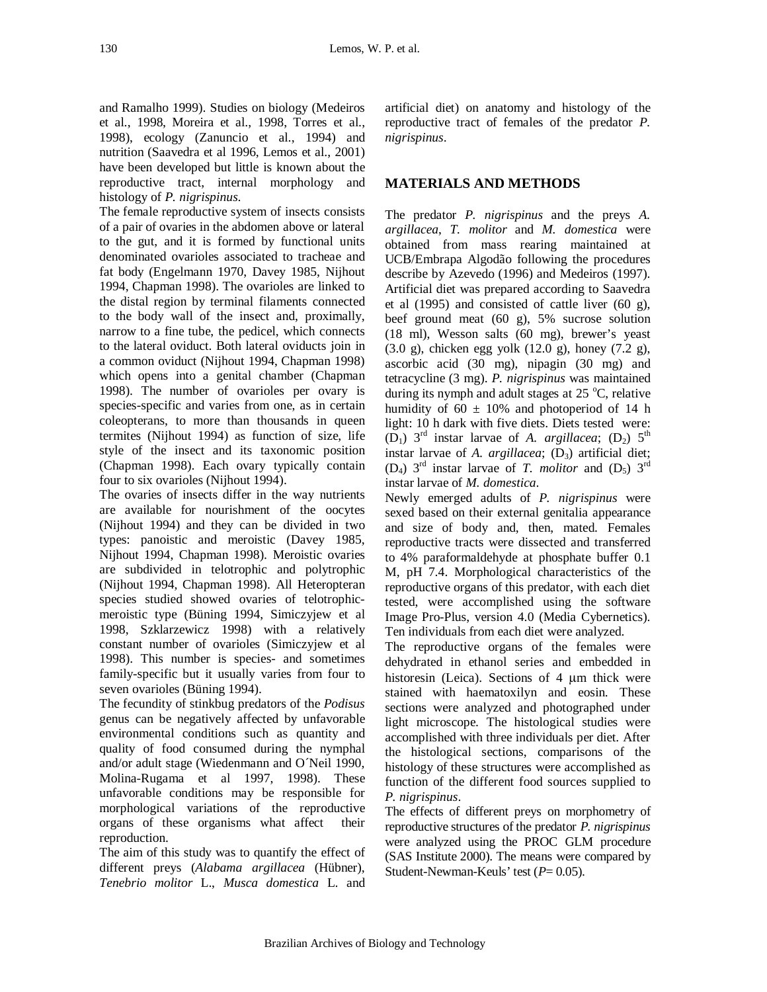and Ramalho 1999). Studies on biology (Medeiros et al., 1998, Moreira et al., 1998, Torres et al., 1998), ecology (Zanuncio et al., 1994) and nutrition (Saavedra et al 1996, Lemos et al., 2001) have been developed but little is known about the reproductive tract, internal morphology and histology of *P. nigrispinus*.

The female reproductive system of insects consists of a pair of ovaries in the abdomen above or lateral to the gut, and it is formed by functional units denominated ovarioles associated to tracheae and fat body (Engelmann 1970, Davey 1985, Nijhout 1994, Chapman 1998). The ovarioles are linked to the distal region by terminal filaments connected to the body wall of the insect and, proximally, narrow to a fine tube, the pedicel, which connects to the lateral oviduct. Both lateral oviducts join in a common oviduct (Nijhout 1994, Chapman 1998) which opens into a genital chamber (Chapman 1998). The number of ovarioles per ovary is species-specific and varies from one, as in certain coleopterans, to more than thousands in queen termites (Nijhout 1994) as function of size, life style of the insect and its taxonomic position (Chapman 1998). Each ovary typically contain four to six ovarioles (Nijhout 1994).

The ovaries of insects differ in the way nutrients are available for nourishment of the oocytes (Nijhout 1994) and they can be divided in two types: panoistic and meroistic (Davey 1985, Nijhout 1994, Chapman 1998). Meroistic ovaries are subdivided in telotrophic and polytrophic (Nijhout 1994, Chapman 1998). All Heteropteran species studied showed ovaries of telotrophicmeroistic type (Büning 1994, Simiczyjew et al 1998, Szklarzewicz 1998) with a relatively constant number of ovarioles (Simiczyjew et al 1998). This number is species- and sometimes family-specific but it usually varies from four to seven ovarioles (Büning 1994).

The fecundity of stinkbug predators of the *Podisus* genus can be negatively affected by unfavorable environmental conditions such as quantity and quality of food consumed during the nymphal and/or adult stage (Wiedenmann and O´Neil 1990, Molina-Rugama et al 1997, 1998). These unfavorable conditions may be responsible for morphological variations of the reproductive organs of these organisms what affect their reproduction.

The aim of this study was to quantify the effect of different preys (*Alabama argillacea* (Hübner), *Tenebrio molitor* L., *Musca domestica* L. and artificial diet) on anatomy and histology of the reproductive tract of females of the predator *P. nigrispinus*.

# **MATERIALS AND METHODS**

The predator *P. nigrispinus* and the preys *A. argillacea*, *T. molitor* and *M. domestica* were obtained from mass rearing maintained at UCB/Embrapa Algodão following the procedures describe by Azevedo (1996) and Medeiros (1997). Artificial diet was prepared according to Saavedra et al (1995) and consisted of cattle liver (60 g), beef ground meat (60 g), 5% sucrose solution (18 ml), Wesson salts (60 mg), brewer's yeast (3.0 g), chicken egg yolk (12.0 g), honey (7.2 g), ascorbic acid (30 mg), nipagin (30 mg) and tetracycline (3 mg). *P. nigrispinus* was maintained during its nymph and adult stages at  $25^{\circ}$ C, relative humidity of  $60 \pm 10\%$  and photoperiod of 14 h light: 10 h dark with five diets. Diets tested were: (D<sub>1</sub>)  $3^{\text{rd}}$  instar larvae of *A. argillacea*; (D<sub>2</sub>)  $5^{\text{th}}$ instar larvae of *A. argillacea*;  $(D_3)$  artificial diet; (D<sub>4</sub>)  $3^{\text{rd}}$  instar larvae of *T. molitor* and (D<sub>5</sub>)  $3^{\text{rd}}$ instar larvae of *M. domestica*.

Newly emerged adults of *P. nigrispinus* were sexed based on their external genitalia appearance and size of body and, then, mated. Females reproductive tracts were dissected and transferred to 4% paraformaldehyde at phosphate buffer 0.1 M, pH 7.4. Morphological characteristics of the reproductive organs of this predator, with each diet tested, were accomplished using the software Image Pro-Plus, version 4.0 (Media Cybernetics). Ten individuals from each diet were analyzed.

The reproductive organs of the females were dehydrated in ethanol series and embedded in historesin (Leica). Sections of 4 um thick were stained with haematoxilyn and eosin. These sections were analyzed and photographed under light microscope. The histological studies were accomplished with three individuals per diet. After the histological sections, comparisons of the histology of these structures were accomplished as function of the different food sources supplied to *P. nigrispinus*.

The effects of different preys on morphometry of reproductive structures of the predator *P. nigrispinus* were analyzed using the PROC GLM procedure (SAS Institute 2000). The means were compared by Student-Newman-Keuls' test (*P*= 0.05).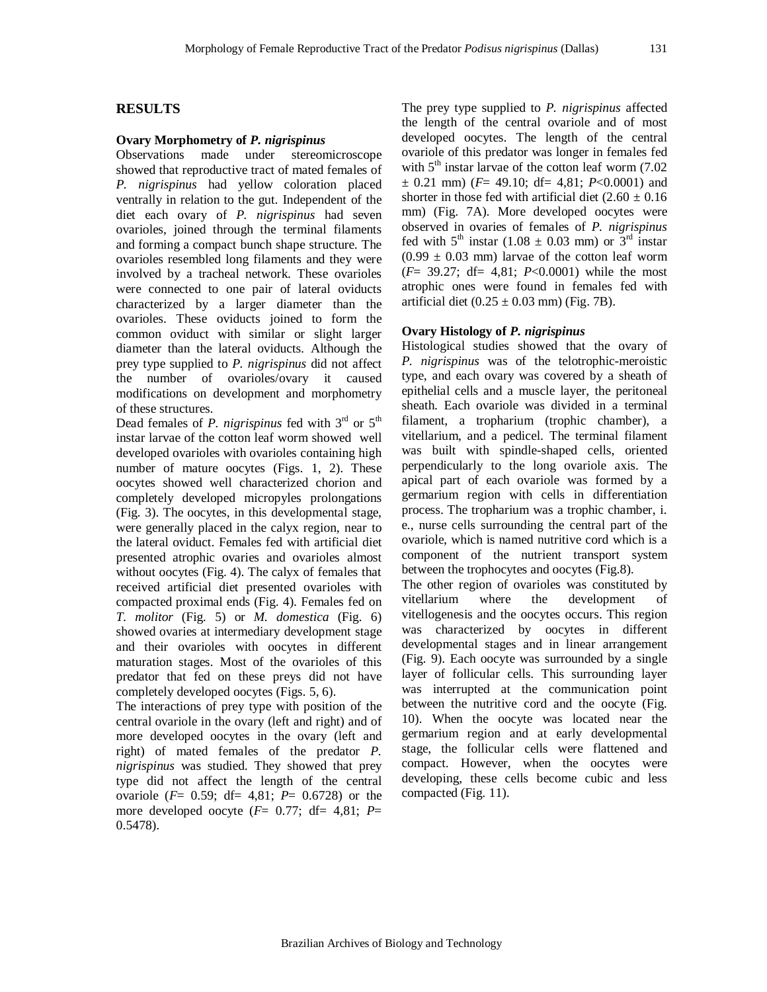#### **RESULTS**

#### **Ovary Morphometry of** *P. nigrispinus*

Observations made under stereomicroscope showed that reproductive tract of mated females of *P. nigrispinus* had yellow coloration placed ventrally in relation to the gut. Independent of the diet each ovary of *P. nigrispinus* had seven ovarioles, joined through the terminal filaments and forming a compact bunch shape structure. The ovarioles resembled long filaments and they were involved by a tracheal network. These ovarioles were connected to one pair of lateral oviducts characterized by a larger diameter than the ovarioles. These oviducts joined to form the common oviduct with similar or slight larger diameter than the lateral oviducts. Although the prey type supplied to *P. nigrispinus* did not affect the number of ovarioles/ovary it caused modifications on development and morphometry of these structures.

Dead females of *P. nigrispinus* fed with  $3<sup>rd</sup>$  or  $5<sup>th</sup>$ instar larvae of the cotton leaf worm showed well developed ovarioles with ovarioles containing high number of mature oocytes (Figs. 1, 2). These oocytes showed well characterized chorion and completely developed micropyles prolongations (Fig. 3). The oocytes, in this developmental stage, were generally placed in the calyx region, near to the lateral oviduct. Females fed with artificial diet presented atrophic ovaries and ovarioles almost without oocytes (Fig. 4). The calyx of females that received artificial diet presented ovarioles with compacted proximal ends (Fig. 4). Females fed on *T. molitor* (Fig. 5) or *M. domestica* (Fig. 6) showed ovaries at intermediary development stage and their ovarioles with oocytes in different maturation stages. Most of the ovarioles of this predator that fed on these preys did not have completely developed oocytes (Figs. 5, 6).

The interactions of prey type with position of the central ovariole in the ovary (left and right) and of more developed oocytes in the ovary (left and right) of mated females of the predator *P. nigrispinus* was studied. They showed that prey type did not affect the length of the central ovariole (*F*= 0.59; df= 4,81; *P*= 0.6728) or the more developed oocyte  $(F = 0.77; df = 4.81; P =$ 0.5478).

The prey type supplied to *P. nigrispinus* affected the length of the central ovariole and of most developed oocytes. The length of the central ovariole of this predator was longer in females fed with  $5<sup>th</sup>$  instar larvae of the cotton leaf worm (7.02)  $\pm$  0.21 mm) ( $F = 49.10$ ; df= 4,81;  $P < 0.0001$ ) and shorter in those fed with artificial diet  $(2.60 \pm 0.16)$ mm) (Fig. 7A). More developed oocytes were observed in ovaries of females of *P. nigrispinus* fed with  $5<sup>th</sup>$  instar (1.08  $\pm$  0.03 mm) or  $3<sup>rd</sup>$  instar  $(0.99 \pm 0.03 \text{ mm})$  larvae of the cotton leaf worm (*F*= 39.27; df= 4,81; *P*<0.0001) while the most atrophic ones were found in females fed with artificial diet  $(0.25 \pm 0.03 \text{ mm})$  (Fig. 7B).

## **Ovary Histology of** *P. nigrispinus*

Histological studies showed that the ovary of *P. nigrispinus* was of the telotrophic-meroistic type, and each ovary was covered by a sheath of epithelial cells and a muscle layer, the peritoneal sheath. Each ovariole was divided in a terminal filament, a tropharium (trophic chamber), a vitellarium, and a pedicel. The terminal filament was built with spindle-shaped cells, oriented perpendicularly to the long ovariole axis. The apical part of each ovariole was formed by a germarium region with cells in differentiation process. The tropharium was a trophic chamber, i. e., nurse cells surrounding the central part of the ovariole, which is named nutritive cord which is a component of the nutrient transport system between the trophocytes and oocytes (Fig.8).

The other region of ovarioles was constituted by vitellarium where the development of vitellogenesis and the oocytes occurs. This region was characterized by oocytes in different developmental stages and in linear arrangement (Fig. 9). Each oocyte was surrounded by a single layer of follicular cells. This surrounding layer was interrupted at the communication point between the nutritive cord and the oocyte (Fig. 10). When the oocyte was located near the germarium region and at early developmental stage, the follicular cells were flattened and compact. However, when the oocytes were developing, these cells become cubic and less compacted (Fig. 11).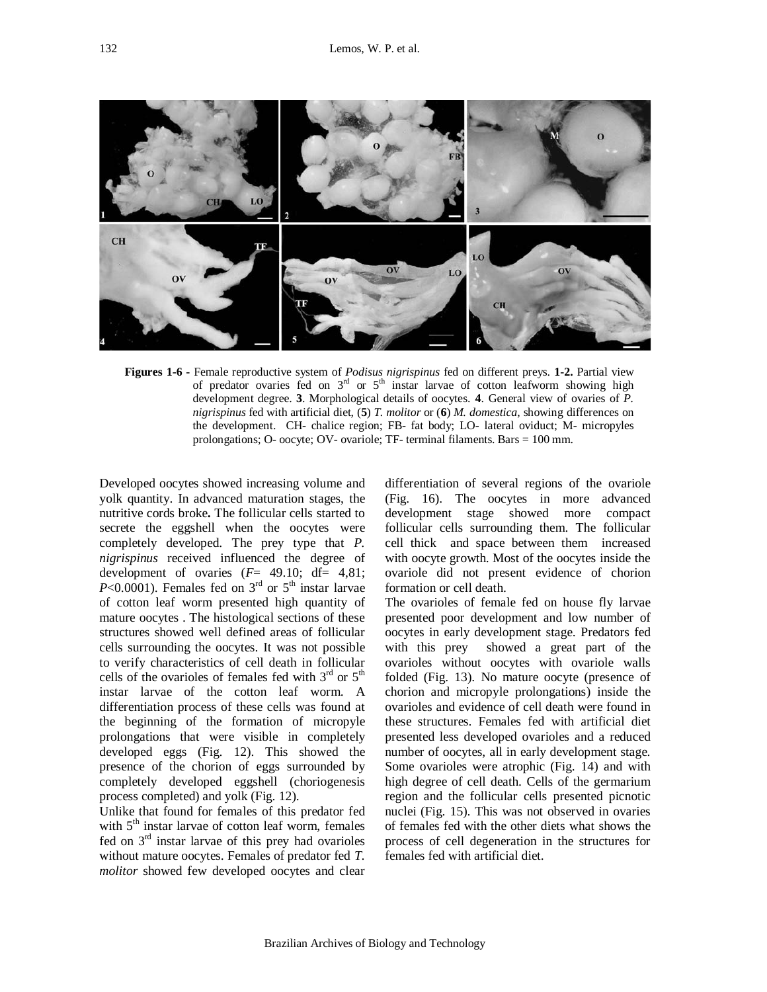

**Figures 1-6 -** Female reproductive system of *Podisus nigrispinus* fed on different preys. **1-2.** Partial view of predator ovaries fed on  $3<sup>rd</sup>$  or  $5<sup>th</sup>$  instar larvae of cotton leafworm showing high development degree. **3**. Morphological details of oocytes. **4**. General view of ovaries of *P. nigrispinus* fed with artificial diet, (**5**) *T. molitor* or (**6**) *M. domestica*, showing differences on the development. CH- chalice region; FB- fat body; LO- lateral oviduct; M- micropyles prolongations; O- oocyte; OV- ovariole; TF- terminal filaments. Bars = 100 mm.

Developed oocytes showed increasing volume and yolk quantity. In advanced maturation stages, the nutritive cords broke**.** The follicular cells started to secrete the eggshell when the oocytes were completely developed. The prey type that *P. nigrispinus* received influenced the degree of development of ovaries  $(F= 49.10; df= 4.81;$  $P<0.0001$ ). Females fed on  $3<sup>rd</sup>$  or  $5<sup>th</sup>$  instar larvae of cotton leaf worm presented high quantity of mature oocytes . The histological sections of these structures showed well defined areas of follicular cells surrounding the oocytes. It was not possible to verify characteristics of cell death in follicular cells of the ovarioles of females fed with  $3<sup>rd</sup>$  or  $5<sup>th</sup>$ instar larvae of the cotton leaf worm. A differentiation process of these cells was found at the beginning of the formation of micropyle prolongations that were visible in completely developed eggs (Fig. 12). This showed the presence of the chorion of eggs surrounded by completely developed eggshell (choriogenesis process completed) and yolk (Fig. 12).

Unlike that found for females of this predator fed with  $5<sup>th</sup>$  instar larvae of cotton leaf worm, females fed on  $3<sup>rd</sup>$  instar larvae of this prey had ovarioles without mature oocytes. Females of predator fed *T. molitor* showed few developed oocytes and clear

differentiation of several regions of the ovariole (Fig. 16). The oocytes in more advanced development stage showed more compact follicular cells surrounding them. The follicular cell thick and space between them increased with oocyte growth. Most of the oocytes inside the ovariole did not present evidence of chorion formation or cell death.

The ovarioles of female fed on house fly larvae presented poor development and low number of oocytes in early development stage. Predators fed with this prey showed a great part of the ovarioles without oocytes with ovariole walls folded (Fig. 13). No mature oocyte (presence of chorion and micropyle prolongations) inside the ovarioles and evidence of cell death were found in these structures. Females fed with artificial diet presented less developed ovarioles and a reduced number of oocytes, all in early development stage. Some ovarioles were atrophic (Fig. 14) and with high degree of cell death. Cells of the germarium region and the follicular cells presented picnotic nuclei (Fig. 15). This was not observed in ovaries of females fed with the other diets what shows the process of cell degeneration in the structures for females fed with artificial diet.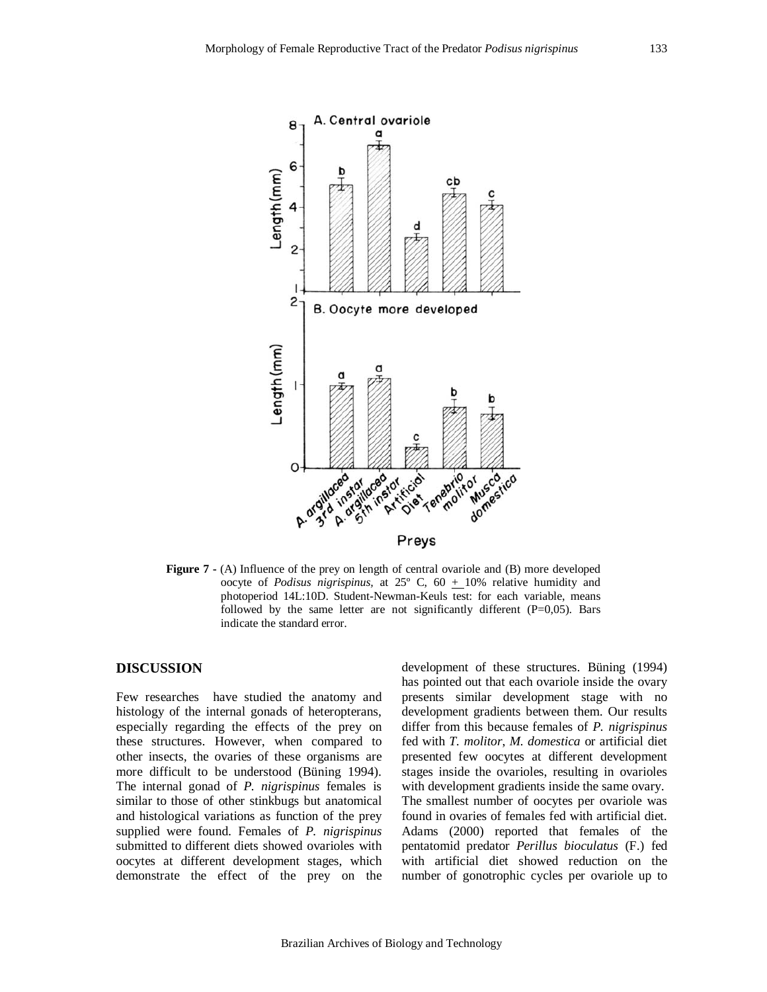

**Figure 7 -** (A) Influence of the prey on length of central ovariole and (B) more developed oocyte of *Podisus nigrispinus*, at  $25^{\circ}$  C, 60  $+$  10% relative humidity and photoperiod 14L:10D. Student-Newman-Keuls test: for each variable, means followed by the same letter are not significantly different (P=0,05). Bars indicate the standard error.

# **DISCUSSION**

Few researches have studied the anatomy and histology of the internal gonads of heteropterans, especially regarding the effects of the prey on these structures. However, when compared to other insects, the ovaries of these organisms are more difficult to be understood (Büning 1994). The internal gonad of *P. nigrispinus* females is similar to those of other stinkbugs but anatomical and histological variations as function of the prey supplied were found. Females of *P. nigrispinus* submitted to different diets showed ovarioles with oocytes at different development stages, which demonstrate the effect of the prey on the development of these structures. Büning (1994) has pointed out that each ovariole inside the ovary presents similar development stage with no development gradients between them. Our results differ from this because females of *P. nigrispinus* fed with *T. molitor*, *M. domestica* or artificial diet presented few oocytes at different development stages inside the ovarioles, resulting in ovarioles with development gradients inside the same ovary. The smallest number of oocytes per ovariole was found in ovaries of females fed with artificial diet. Adams (2000) reported that females of the pentatomid predator *Perillus bioculatus* (F.) fed with artificial diet showed reduction on the number of gonotrophic cycles per ovariole up to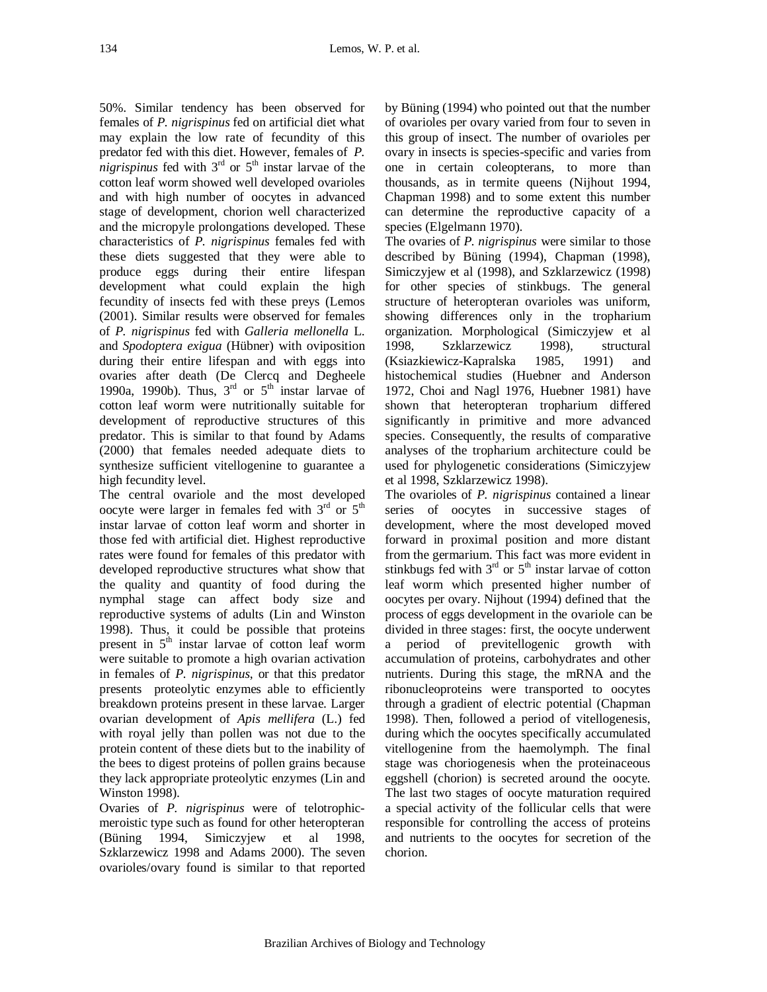134

50%. Similar tendency has been observed for females of *P. nigrispinus* fed on artificial diet what may explain the low rate of fecundity of this predator fed with this diet. However, females of *P. nigrispinus* fed with  $3<sup>rd</sup>$  or  $5<sup>th</sup>$  instar larvae of the cotton leaf worm showed well developed ovarioles and with high number of oocytes in advanced stage of development, chorion well characterized and the micropyle prolongations developed. These characteristics of *P. nigrispinus* females fed with these diets suggested that they were able to produce eggs during their entire lifespan development what could explain the high fecundity of insects fed with these preys (Lemos (2001). Similar results were observed for females of *P. nigrispinus* fed with *Galleria mellonella* L. and *Spodoptera exigua* (Hübner) with oviposition during their entire lifespan and with eggs into ovaries after death (De Clercq and Degheele 1990a, 1990b). Thus,  $3<sup>rd</sup>$  or  $5<sup>th</sup>$  instar larvae of cotton leaf worm were nutritionally suitable for development of reproductive structures of this predator. This is similar to that found by Adams (2000) that females needed adequate diets to synthesize sufficient vitellogenine to guarantee a high fecundity level.

The central ovariole and the most developed oocyte were larger in females fed with  $3<sup>rd</sup>$  or  $5<sup>th</sup>$ instar larvae of cotton leaf worm and shorter in those fed with artificial diet. Highest reproductive rates were found for females of this predator with developed reproductive structures what show that the quality and quantity of food during the nymphal stage can affect body size and reproductive systems of adults (Lin and Winston 1998). Thus, it could be possible that proteins present in 5<sup>th</sup> instar larvae of cotton leaf worm were suitable to promote a high ovarian activation in females of *P. nigrispinus*, or that this predator presents proteolytic enzymes able to efficiently breakdown proteins present in these larvae. Larger ovarian development of *Apis mellifera* (L.) fed with royal jelly than pollen was not due to the protein content of these diets but to the inability of the bees to digest proteins of pollen grains because they lack appropriate proteolytic enzymes (Lin and Winston 1998).

Ovaries of *P. nigrispinus* were of telotrophicmeroistic type such as found for other heteropteran (Büning 1994, Simiczyjew et al 1998, Szklarzewicz 1998 and Adams 2000). The seven ovarioles/ovary found is similar to that reported by Büning (1994) who pointed out that the number of ovarioles per ovary varied from four to seven in this group of insect. The number of ovarioles per ovary in insects is species-specific and varies from one in certain coleopterans, to more than thousands, as in termite queens (Nijhout 1994, Chapman 1998) and to some extent this number can determine the reproductive capacity of a species (Elgelmann 1970).

The ovaries of *P. nigrispinus* were similar to those described by Büning (1994), Chapman (1998), Simiczyjew et al (1998), and Szklarzewicz (1998) for other species of stinkbugs. The general structure of heteropteran ovarioles was uniform, showing differences only in the tropharium organization. Morphological (Simiczyjew et al 1998, Szklarzewicz 1998), structural (Ksiazkiewicz-Kapralska 1985, 1991) and histochemical studies (Huebner and Anderson 1972, Choi and Nagl 1976, Huebner 1981) have shown that heteropteran tropharium differed significantly in primitive and more advanced species. Consequently, the results of comparative analyses of the tropharium architecture could be used for phylogenetic considerations (Simiczyjew et al 1998, Szklarzewicz 1998).

The ovarioles of *P. nigrispinus* contained a linear series of oocytes in successive stages of development, where the most developed moved forward in proximal position and more distant from the germarium. This fact was more evident in stinkbugs fed with  $3<sup>rd</sup>$  or  $5<sup>th</sup>$  instar larvae of cotton leaf worm which presented higher number of oocytes per ovary. Nijhout (1994) defined that the process of eggs development in the ovariole can be divided in three stages: first, the oocyte underwent a period of previtellogenic growth with accumulation of proteins, carbohydrates and other nutrients. During this stage, the mRNA and the ribonucleoproteins were transported to oocytes through a gradient of electric potential (Chapman 1998). Then, followed a period of vitellogenesis, during which the oocytes specifically accumulated vitellogenine from the haemolymph. The final stage was choriogenesis when the proteinaceous eggshell (chorion) is secreted around the oocyte. The last two stages of oocyte maturation required a special activity of the follicular cells that were responsible for controlling the access of proteins and nutrients to the oocytes for secretion of the chorion.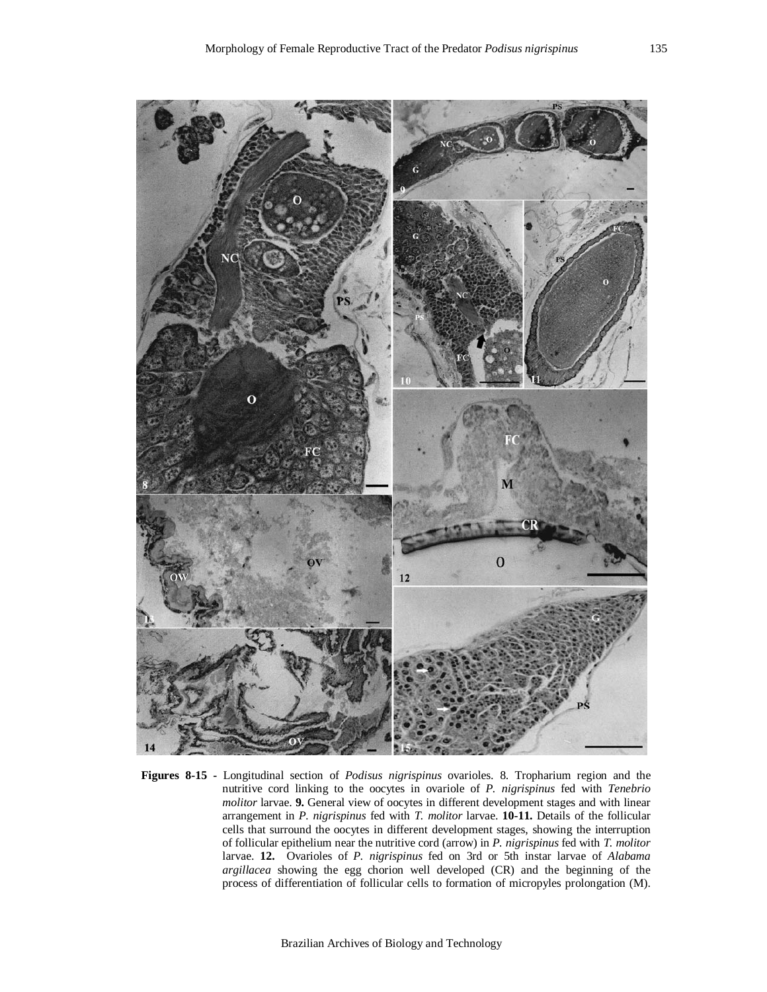

**Figures 8-15 -** Longitudinal section of *Podisus nigrispinus* ovarioles. 8. Tropharium region and the nutritive cord linking to the oocytes in ovariole of *P. nigrispinus* fed with *Tenebrio molitor* larvae. **9.** General view of oocytes in different development stages and with linear arrangement in *P. nigrispinus* fed with *T. molitor* larvae. **10-11.** Details of the follicular cells that surround the oocytes in different development stages, showing the interruption of follicular epithelium near the nutritive cord (arrow) in *P. nigrispinus* fed with *T. molitor* larvae. **12.** Ovarioles of *P. nigrispinus* fed on 3rd or 5th instar larvae of *Alabama argillacea* showing the egg chorion well developed (CR) and the beginning of the process of differentiation of follicular cells to formation of micropyles prolongation (M).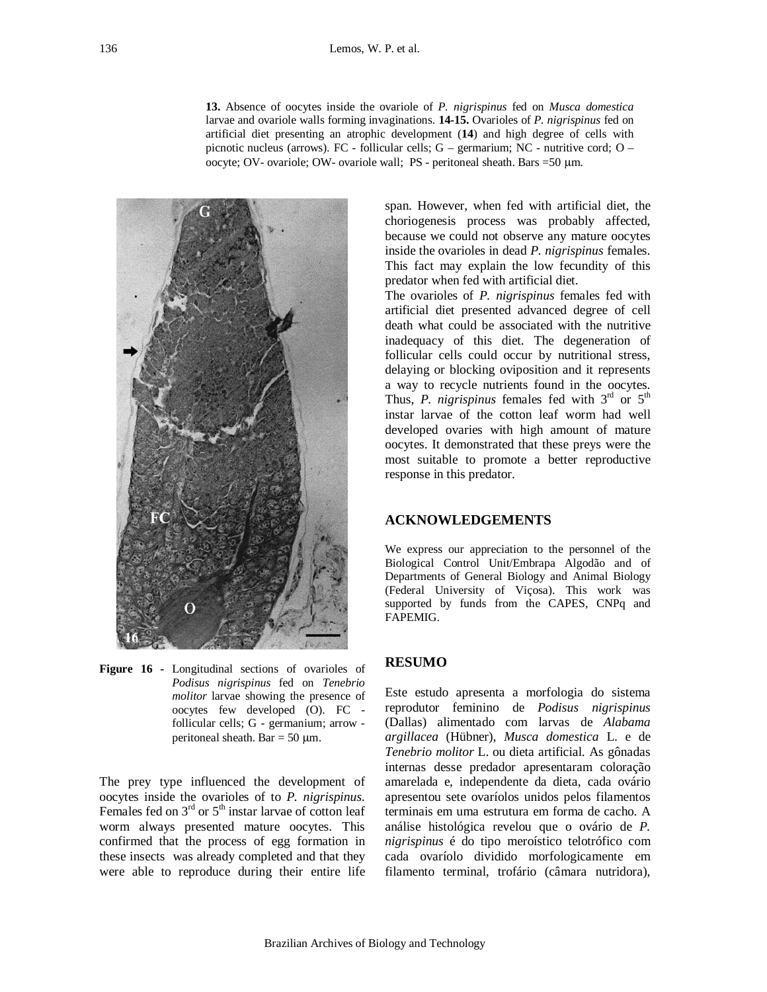**13.** Absence of oocytes inside the ovariole of *P. nigrispinus* fed on *Musca domestica* larvae and ovariole walls forming invaginations. **14-15.** Ovarioles of *P. nigrispinus* fed on artificial diet presenting an atrophic development (**14**) and high degree of cells with picnotic nucleus (arrows). FC - follicular cells; G – germarium; NC - nutritive cord; O – oocyte; OV- ovariole; OW- ovariole wall; PS - peritoneal sheath. Bars =50 µm.



**Figure 16 -** Longitudinal sections of ovarioles of *Podisus nigrispinus* fed on *Tenebrio molitor* larvae showing the presence of oocytes few developed (O). FC follicular cells; G - germanium; arrow peritoneal sheath. Bar =  $50 \mu m$ .

The prey type influenced the development of oocytes inside the ovarioles of to *P. nigrispinus.* Females fed on  $3<sup>rd</sup>$  or  $5<sup>th</sup>$  instar larvae of cotton leaf worm always presented mature oocytes. This confirmed that the process of egg formation in these insects was already completed and that they were able to reproduce during their entire life span. However, when fed with artificial diet, the choriogenesis process was probably affected, because we could not observe any mature oocytes inside the ovarioles in dead *P. nigrispinus* females. This fact may explain the low fecundity of this predator when fed with artificial diet.

The ovarioles of *P. nigrispinus* females fed with artificial diet presented advanced degree of cell death what could be associated with the nutritive inadequacy of this diet. The degeneration of follicular cells could occur by nutritional stress, delaying or blocking oviposition and it represents a way to recycle nutrients found in the oocytes. Thus, *P. nigrispinus* females fed with  $3<sup>rd</sup>$  or  $5<sup>th</sup>$ instar larvae of the cotton leaf worm had well developed ovaries with high amount of mature oocytes. It demonstrated that these preys were the most suitable to promote a better reproductive response in this predator.

#### **ACKNOWLEDGEMENTS**

We express our appreciation to the personnel of the Biological Control Unit/Embrapa Algodão and of Departments of General Biology and Animal Biology (Federal University of Viçosa). This work was supported by funds from the CAPES, CNPq and FAPEMIG.

## **RESUMO**

Este estudo apresenta a morfologia do sistema reprodutor feminino de *Podisus nigrispinus* (Dallas) alimentado com larvas de *Alabama argillacea* (Hübner), *Musca domestica* L. e de *Tenebrio molitor* L. ou dieta artificial. As gônadas internas desse predador apresentaram coloração amarelada e, independente da dieta, cada ovário apresentou sete ovaríolos unidos pelos filamentos terminais em uma estrutura em forma de cacho. A análise histológica revelou que o ovário de *P. nigrispinus* é do tipo meroístico telotrófico com cada ovaríolo dividido morfologicamente em filamento terminal, trofário (câmara nutridora),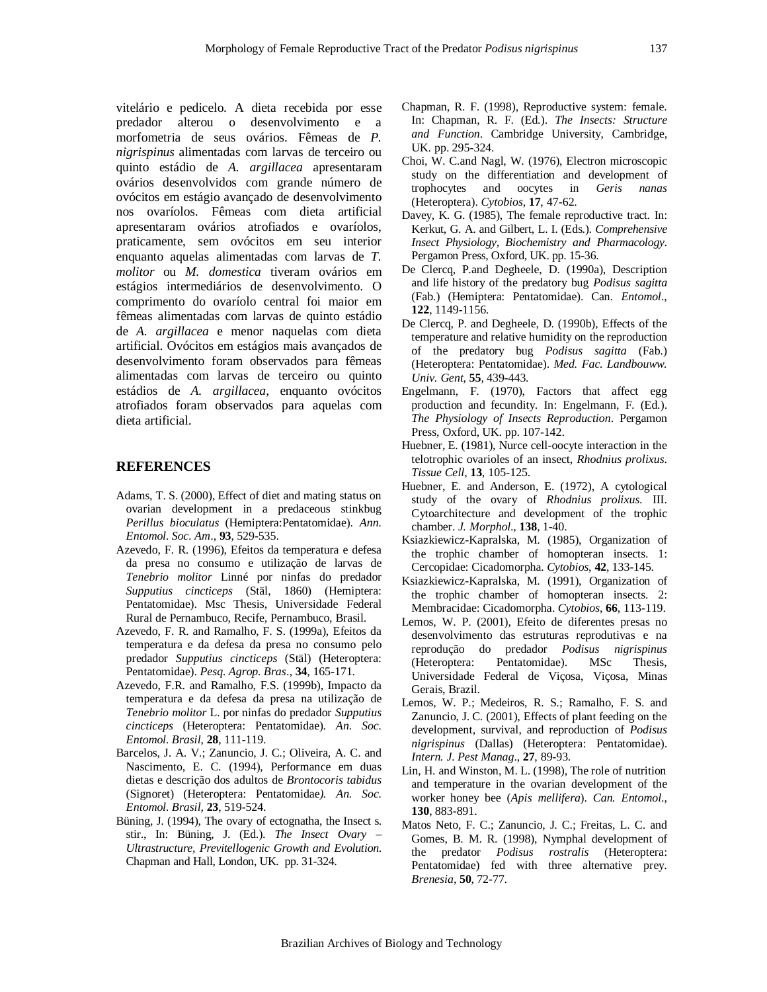vitelário e pedicelo. A dieta recebida por esse predador alterou o desenvolvimento e a morfometria de seus ovários. Fêmeas de *P. nigrispinus* alimentadas com larvas de terceiro ou quinto estádio de *A. argillacea* apresentaram ovários desenvolvidos com grande número de ovócitos em estágio avançado de desenvolvimento nos ovaríolos. Fêmeas com dieta artificial apresentaram ovários atrofiados e ovaríolos, praticamente, sem ovócitos em seu interior enquanto aquelas alimentadas com larvas de *T. molitor* ou *M. domestica* tiveram ovários em estágios intermediários de desenvolvimento. O comprimento do ovaríolo central foi maior em fêmeas alimentadas com larvas de quinto estádio de *A. argillacea* e menor naquelas com dieta artificial. Ovócitos em estágios mais avançados de desenvolvimento foram observados para fêmeas alimentadas com larvas de terceiro ou quinto estádios de *A. argillacea*, enquanto ovócitos atrofiados foram observados para aquelas com dieta artificial.

#### **REFERENCES**

- Adams, T. S. (2000), Effect of diet and mating status on ovarian development in a predaceous stinkbug *Perillus bioculatus* (Hemiptera:Pentatomidae). *Ann. Entomol. Soc. Am*., **93**, 529-535.
- Azevedo, F. R. (1996), Efeitos da temperatura e defesa da presa no consumo e utilização de larvas de *Tenebrio molitor* Linné por ninfas do predador *Supputius cincticeps* (Stäl, 1860) (Hemiptera: Pentatomidae). Msc Thesis, Universidade Federal Rural de Pernambuco, Recife, Pernambuco, Brasil.
- Azevedo, F. R. and Ramalho, F. S. (1999a), Efeitos da temperatura e da defesa da presa no consumo pelo predador *Supputius cincticeps* (Stäl) (Heteroptera: Pentatomidae). *Pesq. Agrop. Bras*., **34**, 165-171.
- Azevedo, F.R. and Ramalho, F.S. (1999b), Impacto da temperatura e da defesa da presa na utilização de *Tenebrio molitor* L. por ninfas do predador *Supputius cincticeps* (Heteroptera: Pentatomidae). *An. Soc. Entomol. Brasil*, **28**, 111-119.
- Barcelos, J. A. V.; Zanuncio, J. C.; Oliveira, A. C. and Nascimento, E. C. (1994), Performance em duas dietas e descrição dos adultos de *Brontocoris tabidus* (Signoret) (Heteroptera: Pentatomidae*). An. Soc. Entomol. Brasil*, **23**, 519-524.
- Büning, J. (1994), The ovary of ectognatha, the Insect s. stir., In: Büning, J. (Ed.). *The Insect Ovary – Ultrastructure, Previtellogenic Growth and Evolution*. Chapman and Hall, London, UK. pp. 31-324.
- Chapman, R. F. (1998), Reproductive system: female. In: Chapman, R. F. (Ed.). *The Insects: Structure and Function*. Cambridge University, Cambridge, UK. pp. 295-324.
- Choi, W. C.and Nagl, W. (1976), Electron microscopic study on the differentiation and development of trophocytes and oocytes in *Geris nanas* (Heteroptera). *Cytobios*, **17**, 47-62.
- Davey, K. G. (1985), The female reproductive tract. In: Kerkut, G. A. and Gilbert, L. I. (Eds.). *Comprehensive Insect Physiology, Biochemistry and Pharmacology*. Pergamon Press, Oxford, UK. pp. 15-36.
- De Clercq, P.and Degheele, D. (1990a), Description and life history of the predatory bug *Podisus sagitta* (Fab.) (Hemiptera: Pentatomidae). Can*. Entomol*., **122**, 1149-1156.
- De Clercq, P. and Degheele, D. (1990b), Effects of the temperature and relative humidity on the reproduction of the predatory bug *Podisus sagitta* (Fab.) (Heteroptera: Pentatomidae). *Med. Fac. Landbouww. Univ. Gent*, **55**, 439-443.
- Engelmann, F. (1970), Factors that affect egg production and fecundity. In: Engelmann, F. (Ed.). *The Physiology of Insects Reproduction*. Pergamon Press, Oxford, UK. pp. 107-142.
- Huebner, E. (1981), Nurce cell-oocyte interaction in the telotrophic ovarioles of an insect, *Rhodnius prolixus*. *Tissue Cell*, **13**, 105-125.
- Huebner, E. and Anderson, E. (1972), A cytological study of the ovary of *Rhodnius prolixus*. III. Cytoarchitecture and development of the trophic chamber. *J. Morphol*., **138**, 1-40.
- Ksiazkiewicz-Kapralska, M. (1985), Organization of the trophic chamber of homopteran insects. 1: Cercopidae: Cicadomorpha. *Cytobios*, **42**, 133-145.
- Ksiazkiewicz-Kapralska, M. (1991), Organization of the trophic chamber of homopteran insects. 2: Membracidae: Cicadomorpha. *Cytobios*, **66**, 113-119.
- Lemos, W. P. (2001), Efeito de diferentes presas no desenvolvimento das estruturas reprodutivas e na reprodução do predador *Podisus nigrispinus* Pentatomidae). MSc Thesis, Universidade Federal de Viçosa, Viçosa, Minas Gerais, Brazil.
- Lemos, W. P.; Medeiros, R. S.; Ramalho, F. S. and Zanuncio, J. C. (2001), Effects of plant feeding on the development, survival, and reproduction of *Podisus nigrispinus* (Dallas) (Heteroptera: Pentatomidae). *Intern. J. Pest Manag*., **27**, 89-93.
- Lin, H. and Winston, M. L. (1998), The role of nutrition and temperature in the ovarian development of the worker honey bee (*Apis mellifera*). *Can. Entomol*., **130**, 883-891.
- Matos Neto, F. C.; Zanuncio, J. C.; Freitas, L. C. and Gomes, B. M. R. (1998), Nymphal development of the predator *Podisus rostralis* (Heteroptera: Pentatomidae) fed with three alternative prey. *Brenesia*, **50**, 72-77.